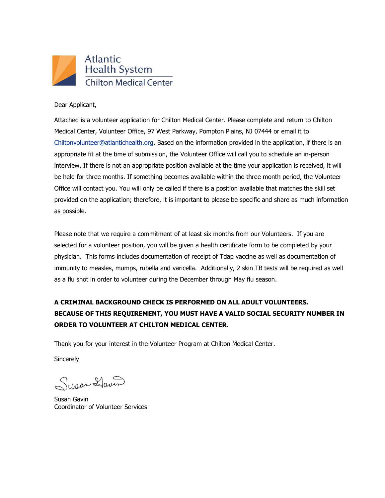

Dear Applicant,

Attached is a volunteer application for Chilton Medical Center. Please complete and return to Chilton Medical Center, Volunteer Office, 97 West Parkway, Pompton Plains, NJ 07444 or email it to [Chiltonvolunteer@atlantichealth.org.](mailto:Chiltonvolunteer@atlantichealth.org) Based on the information provided in the application, if there is an appropriate fit at the time of submission, the Volunteer Office will call you to schedule an in-person interview. If there is not an appropriate position available at the time your application is received, it will be held for three months. If something becomes available within the three month period, the Volunteer Office will contact you. You will only be called if there is a position available that matches the skill set provided on the application; therefore, it is important to please be specific and share as much information as possible.

Please note that we require a commitment of at least six months from our Volunteers. If you are selected for a volunteer position, you will be given a health certificate form to be completed by your physician. This forms includes documentation of receipt of Tdap vaccine as well as documentation of immunity to measles, mumps, rubella and varicella. Additionally, 2 skin TB tests will be required as well as a flu shot in order to volunteer during the December through May flu season.

## **A CRIMINAL BACKGROUND CHECK IS PERFORMED ON ALL ADULT VOLUNTEERS. BECAUSE OF THIS REQUIREMENT, YOU MUST HAVE A VALID SOCIAL SECURITY NUMBER IN ORDER TO VOLUNTEER AT CHILTON MEDICAL CENTER.**

Thank you for your interest in the Volunteer Program at Chilton Medical Center.

**Sincerely** 

Super Haven

Susan Gavin Coordinator of Volunteer Services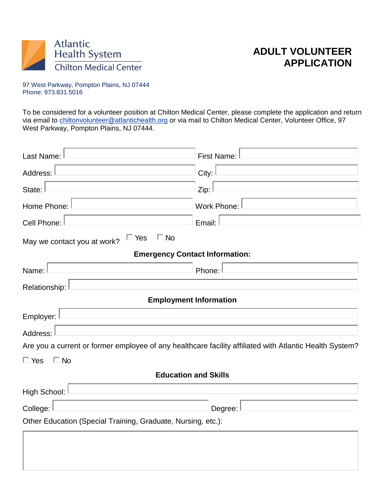

# **ADULT VOLUNTEER APPLICATION**

97 West Parkway, Pompton Plains, NJ 07444 Phone: 973.831.5016

To be considered for a volunteer position at Chilton Medical Center, please complete the application and return via email to [chiltonvolunteer@atlantichealth.org](mailto:chiltonvolunteer@atlantichealth.org) or via mail to Chilton Medical Center, Volunteer Office, 97 West Parkway, Pompton Plains, NJ 07444.

| Last Name:                                                   | <b>First Name:</b>                                                                                      |  |  |  |  |
|--------------------------------------------------------------|---------------------------------------------------------------------------------------------------------|--|--|--|--|
| Address:                                                     | City:                                                                                                   |  |  |  |  |
| State:                                                       | Zip:                                                                                                    |  |  |  |  |
| Home Phone:                                                  | <b>Work Phone:</b>                                                                                      |  |  |  |  |
| Cell Phone:                                                  | Email:                                                                                                  |  |  |  |  |
| $\Box$ No<br>$\Box$ Yes<br>May we contact you at work?       |                                                                                                         |  |  |  |  |
|                                                              | <b>Emergency Contact Information:</b>                                                                   |  |  |  |  |
| Name:                                                        | Phone:                                                                                                  |  |  |  |  |
| Relationship:                                                |                                                                                                         |  |  |  |  |
|                                                              | <b>Employment Information</b>                                                                           |  |  |  |  |
| Employer:                                                    |                                                                                                         |  |  |  |  |
| Address:                                                     |                                                                                                         |  |  |  |  |
|                                                              | Are you a current or former employee of any healthcare facility affiliated with Atlantic Health System? |  |  |  |  |
| $\Box$ Yes<br>$\Box$ No                                      |                                                                                                         |  |  |  |  |
| <b>Education and Skills</b>                                  |                                                                                                         |  |  |  |  |
| High School:                                                 |                                                                                                         |  |  |  |  |
| College:<br>Degree:                                          |                                                                                                         |  |  |  |  |
| Other Education (Special Training, Graduate, Nursing, etc.): |                                                                                                         |  |  |  |  |
|                                                              |                                                                                                         |  |  |  |  |
|                                                              |                                                                                                         |  |  |  |  |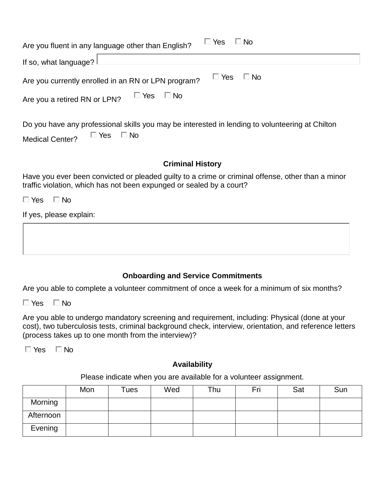| $\Box$ Yes<br>$\Box$ No<br>Are you fluent in any language other than English? |                      |  |  |  |
|-------------------------------------------------------------------------------|----------------------|--|--|--|
| If so, what language? $\lfloor$                                               |                      |  |  |  |
| Are you currently enrolled in an RN or LPN program?                           | $\Box$ Yes $\Box$ No |  |  |  |
| $\Box$ Yes $\Box$ No<br>Are you a retired RN or LPN?                          |                      |  |  |  |
|                                                                               |                      |  |  |  |

Do you have any professional skills you may be interested in lending to volunteering at Chilton Medical Center?  $\Box$  Yes  $\Box$  No

#### **Criminal History**

Have you ever been convicted or pleaded guilty to a crime or criminal offense, other than a minor traffic violation, which has not been expunged or sealed by a court?

 $\Box$  Yes  $\Box$  No

If yes, please explain:

### **Onboarding and Service Commitments**

Are you able to complete a volunteer commitment of once a week for a minimum of six months?

 $\Box$  Yes  $\Box$  No

Are you able to undergo mandatory screening and requirement, including: Physical (done at your cost), two tuberculosis tests, criminal background check, interview, orientation, and reference letters (process takes up to one month from the interview)?

 $\Box$  Yes  $\Box$  No

### **Availability**

Please indicate when you are available for a volunteer assignment.

|           | Mon | $r$ ues | Wed | Thu | Fri | Sat | Sun |
|-----------|-----|---------|-----|-----|-----|-----|-----|
| Morning   |     |         |     |     |     |     |     |
| Afternoon |     |         |     |     |     |     |     |
| Evening   |     |         |     |     |     |     |     |